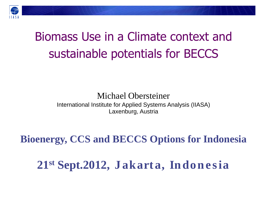

### Biomass Use in a Climate context and sustainable potentials for BECCS

#### Michael Obersteiner International Institute for Applied Systems Analysis (IIASA) Laxenburg, Austria

### **Bioenergy, CCS and BECCS Options for Indonesia**

21<sup>st</sup> Sept.2012, Jakarta, Indonesia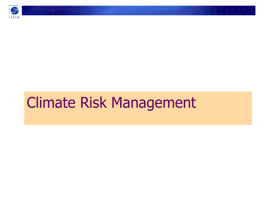

### Climate Risk Management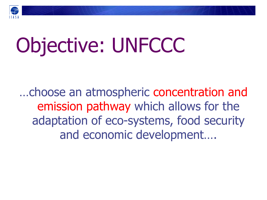

# Objective: UNFCCC

…choose an atmospheric concentration and emission pathway which allows for the adaptation of eco-systems, food security and economic development….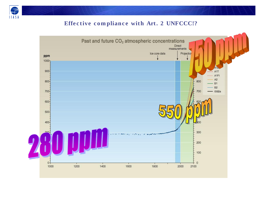

#### Effective compliance with Art. 2 UNFCCC!?

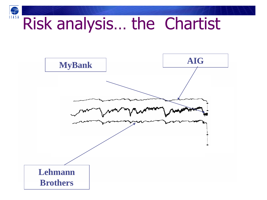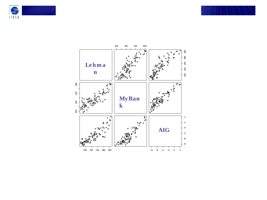



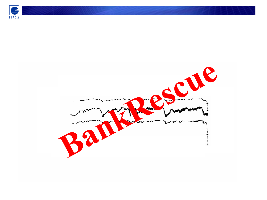

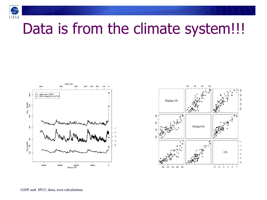

### Data is from the climate system!!!



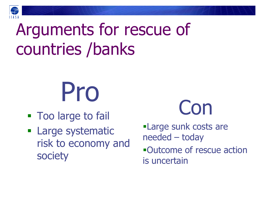

## Arguments for rescue of countries /banks

# Pro

- **Too large to fail**
- **Large systematic** risk to economy and society



Large sunk costs are needed – today Outcome of rescue action is uncertain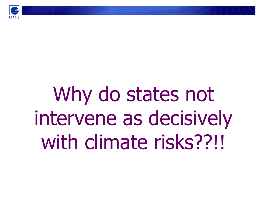

# Why do states not intervene as decisively with climate risks??!!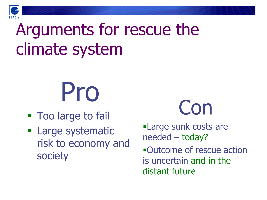

## Arguments for rescue the climate system



- **Too large to fail**
- **Large systematic** risk to economy and society



Large sunk costs are needed – today? Outcome of rescue action is uncertain and in the distant future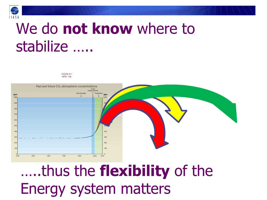

### We do not know where to stabilize .....

FIGURE 9.1 **SPM - 10a** 



.....thus the flexibility of the **Energy system matters**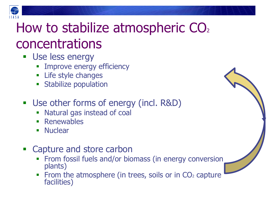

### How to stabilize atmospheric CO<sub>2</sub> concentrations

- **Use less energy** 
	- Improve energy efficiency
	- **Life style changes**
	- **Stabilize population**
- **Use other forms of energy (incl. R&D)** 
	- Natural gas instead of coal
	- **Renewables**
	- **Nuclear**
- **Example 2** Capture and store carbon
	- From fossil fuels and/or biomass (in energy conversion plants)
	- From the atmosphere (in trees, soils or in  $CO<sub>2</sub>$  capture facilities)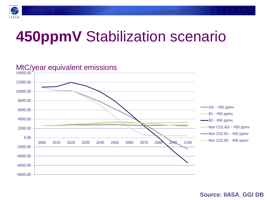

### **450ppmV** Stabilization scenario



#### **Source: IIASA\_GGI DB**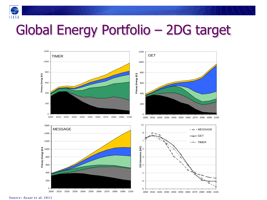

### Global Energy Portfolio – 2DG target



**Source: Azaar et al. 2011**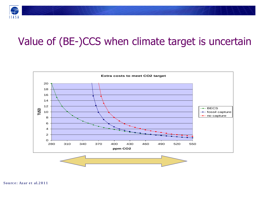

### Value of (BE-)CCS when climate target is uncertain

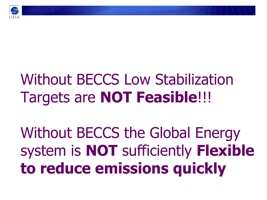

## Without BECCS Low Stabilization Targets are **NOT Feasible**!!!

Without BECCS the Global Energy system is **NOT** sufficiently **Flexible to reduce emissions quickly**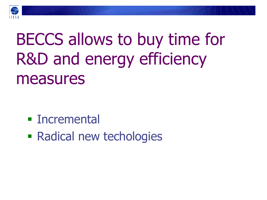

## BECCS allows to buy time for R&D and energy efficiency measures

- **Incremental**
- Radical new techologies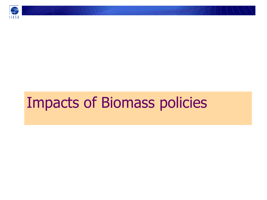

### Impacts of Biomass policies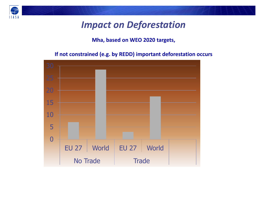

### *Impact on Deforestation*

#### **Mha, based on WEO 2020 targets,**

#### **If not constrained (e.g. by REDD) important deforestation occurs**

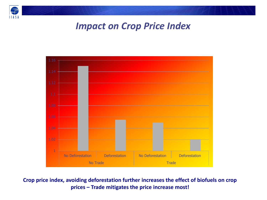

### *Impact on Crop Price Index*



**Crop price index, avoiding deforestation further increases the effect of biofuels on crop prices – Trade mitigates the price increase most!**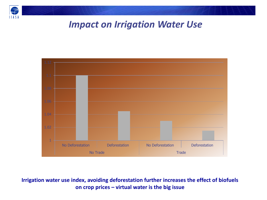

### *Impact on Irrigation Water Use*



**Irrigation water use index, avoiding deforestation further increases the effect of biofuels on crop prices – virtual water is the big issue**